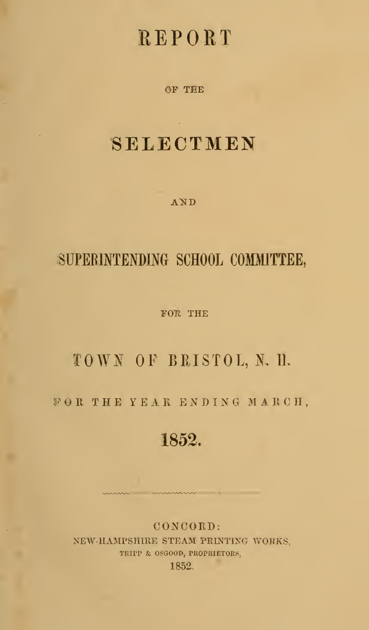# REPOET

#### OF THE

# SELECTMEN

#### AND

## SUPERINTENDING SCHOOL COMMITTEE,

FOR THE

# TOWN OF BRISTOL, N. H.

FOR THE YEAR ENDING MARCH,

## 1852.

CONCORD: NEW-HAMPSHIRE STEAM PRINTING WORKS, TRirP & OSGOOD, PROPRIETORS, 1852.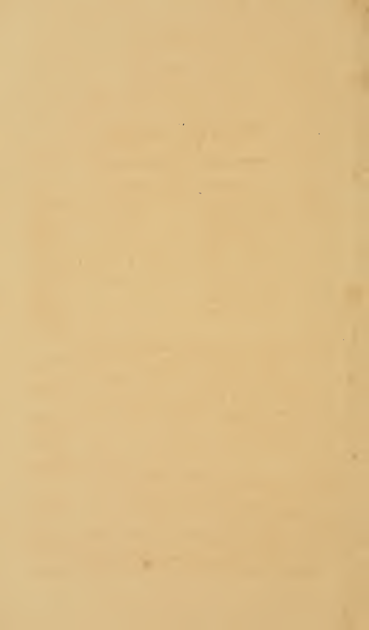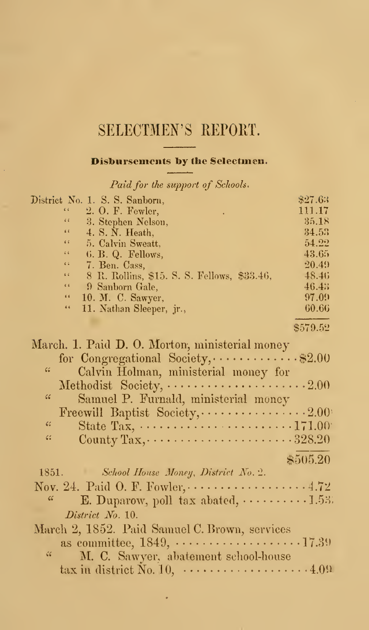## SELECTMEN'S REPORT.

#### Disbursements by the Selectmen.

Paid for the support of Schools.

|                                    | District No. 1. S. S. Sanborn,              | \$27.63  |
|------------------------------------|---------------------------------------------|----------|
| $C_0C_1$                           | 2. O. F. Fewler,                            | 111.17   |
| $\zeta/\zeta$                      | 3. Stephen Nelson,                          | 35.18    |
| $\pmb{\epsilon} \cdot \pmb{\zeta}$ | 4. S. N. Heath,                             | 34.53    |
| 6.6                                | 5. Calvin Sweatt.                           | 54.22    |
| $\zeta/\zeta$                      | $6. B. Q.$ Fellows,                         | 43.65    |
| $\left( 4\right)$                  | 7. Ben. Cass.                               | 20.49    |
| $\epsilon \in$                     | 8 R. Rollins, \$15. S. S. Fellows, \$33.46, | 48.46    |
| 6.6                                | 9 Sanborn Gale,                             | 46.43    |
| 66.                                | 10. M. C. Sawyer,                           | 97.09    |
|                                    | " 11. Nathan Sleeper, jr.,                  | 60.66    |
|                                    |                                             | \$579.52 |

| March. 1. Paid D. O. Morton, ministerial money                                     |
|------------------------------------------------------------------------------------|
| for Congregational Society, $\cdots \cdots \cdots$ \$2.00                          |
| $\mathcal{C}$<br>Calvin Holman, ministerial money for                              |
| Methodist Society, $\cdots \cdots \cdots \cdots \cdots \cdots 2.00$                |
| 66<br>Samuel P. Furnald, ministerial money                                         |
| Freewill Baptist Society, $\cdots \cdots \cdots \cdots 2.00$                       |
| $\epsilon$<br>State Tax, $\cdots \cdots \cdots \cdots \cdots \cdots \cdots 171.00$ |
| $\mathcal{C}^{\mathcal{E}}$                                                        |
| \$505.20                                                                           |
| School House Money, District No. 2.<br>1851.                                       |
| Nov. 24. Paid O. F. Fowler, $\cdots \cdots \cdots \cdots \cdots 4.72$              |
| $\epsilon$<br><b>E.</b> Duparow, poll tax abated, $\cdots \cdots \cdots 1.53$ .    |
| $District$ No. 10.                                                                 |
| March 2, 1852. Paid Samuel C. Brown, services                                      |
| as committee, $1849, \ldots, \ldots, \ldots, \ldots, 17.39$                        |
| $66 -$<br>M. C. Sawyer, abatement school-house                                     |
| tax in district No. 10, $\dots \dots \dots \dots \dots \dots \dots 4.09$           |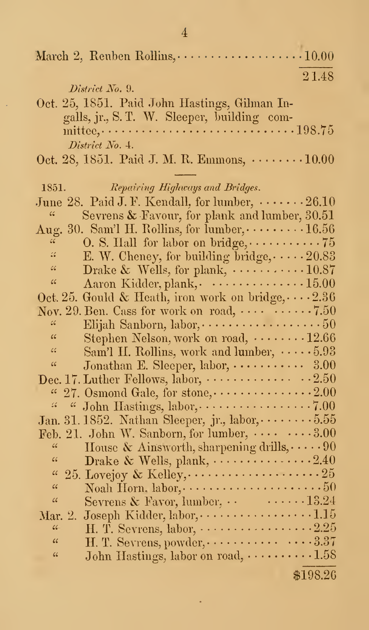| 4                                                                                               |
|-------------------------------------------------------------------------------------------------|
| March 2, Reuben Rollins,  10.00                                                                 |
| 21.48                                                                                           |
| District No. 9.                                                                                 |
| Oct. 25, 1851. Paid John Hastings, Gilman In-                                                   |
| galls, jr., S. T. W. Sleeper, building com-                                                     |
|                                                                                                 |
| District No. 4.                                                                                 |
| Oct. 28, 1851. Paid J. M. R. Emmons,  10.00                                                     |
| Repairing Highways and Bridges.<br>1851.                                                        |
| June 28. Paid J. F. Kendall, for lumber, $\,\ldots\ldots\,26.10$                                |
| $\epsilon$<br>Sevrens $\&$ Favour, for plank and lumber, 30.51                                  |
| 30. Sam'l H. Rollins, for lumber, $\cdots \cdots \cdots 16.56$<br>Aug.                          |
| $\epsilon$<br>O. S. Hall for labor on bridge, $\cdots \cdots \cdots \cdots 75$                  |
| 44<br>E. W. Cheney, for building bridge, $\cdots$ 20.83                                         |
| 66<br>Drake & Wells, for plank, $\cdots \cdots \cdots 10.87$                                    |
| 66<br>Aaron Kidder, plank, $\cdots \cdots \cdots \cdots \cdots 15.00$                           |
| Oct. 25. Gould & Heath, iron work on bridge, $\cdots$ 2.36                                      |
|                                                                                                 |
| 66<br>Elijah Sanborn, labor, $\cdots \cdots \cdots \cdots \cdots 50$                            |
| Stephen Nelson, work on road, $\cdots \cdots 12.66$<br>$\epsilon$                               |
| Sam'l H. Rollins, work and lumber, $\cdots$ 5.93<br>44                                          |
| Jonathan E. Sleeper, labor, $\cdots \cdots \cdots 3.00$<br>66                                   |
| Dec. 17. Luther Fellows, labor, $\cdots \cdots \cdots \cdots \cdots 2.50$                       |
| 27. Osmond Gale, for stone, $\cdots\cdots\cdots\cdots 2.00$<br>$\zeta \zeta$                    |
| John Hastings, ${\rm labor}, \ldots \ldots \ldots \ldots \ldots \ldots 7.00$<br>4<br>$\epsilon$ |
| Jan. 31. 1852. Nathan Sleeper, jr., labor,  5.55                                                |
| 21. John W. Sanborn, for lumber, $\cdots \cdots 3.00$<br>Feb.                                   |
| 66<br>House & Ainsworth, sharpening drills, $\cdots$ 90                                         |
| Drake & Wells, plank, $\cdots \cdots \cdots \cdots 2.40$<br>$\epsilon$                          |
| 25. Lovejoy & Kelley, $\dots\dots\dots\dots\dots\dots\dots 25$<br>66                            |
| Noah Horn, labor, $\dots\dots\dots\dots\dots\dots\dots\dots50$<br>$\epsilon$                    |
| Sevrens & Favor, lumber, $\cdots$ $\cdots$ $\cdots$ 13.24<br>66                                 |
| Joseph Kidder, labor, 1.15<br>Mar. 2.                                                           |
| H. T. Sevrens, labor, 2.25<br>$\sqrt{2}$                                                        |
| H. T. Sevrens, powder,  3.37<br>66                                                              |
| John Hastings, labor on road, $\cdots \cdots \cdots 1.58$<br>66                                 |
| \$198.26                                                                                        |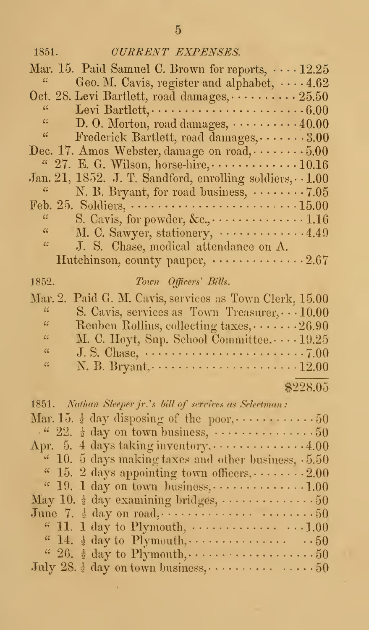## 1851. CURRENT EXPENSES.

| Mar. 15. Paid Samuel C. Brown for reports, $\,\cdots\,12.25$                                                                         |  |
|--------------------------------------------------------------------------------------------------------------------------------------|--|
| 66.<br>Geo. M. Cavis, register and alphabet, $\cdots$ 4.62                                                                           |  |
| Oct. 28. Levi Bartlett, road damages, $\cdots \cdots \cdots 25.50$<br>$\sqrt{2}$                                                     |  |
| $\zeta \zeta$                                                                                                                        |  |
| D. O. Morton, road damages, $\cdots \cdots \cdots 40.00$<br>66                                                                       |  |
| Frederick Bartlett, road damages, $\cdots \cdots 3.00$                                                                               |  |
| Dec. 17. Amos Webster, damage on road, $\cdots\cdots\cdots5.00$<br>27. E. G. Wilson, horse-hire, $\cdots \cdots \cdots \cdots 10.16$ |  |
| Jan. 21, 1852. J. T. Sandford, enrolling soldiers, $\cdots 1.00$                                                                     |  |
| N. B. Bryant, for road business, $\cdots \cdots \cdots 7.05$                                                                         |  |
|                                                                                                                                      |  |
| $\zeta\zeta$<br>S. Cavis, for powder, $\&c., \ldots \ldots \ldots \ldots 1.16$                                                       |  |
| $\epsilon$<br>M. C. Sawyer, stationery, $\cdots \cdots \cdots 4.49$                                                                  |  |
| $\epsilon$<br>J. S. Chase, medical attendance on A.                                                                                  |  |
| Hutchinson, county pauper, $\cdots \cdots \cdots \cdots 2.67$                                                                        |  |
|                                                                                                                                      |  |
| Town Officers' Bills.<br>1852.                                                                                                       |  |
| Mar. 2.<br>Paid G. M. Cavis, services as Town Clerk, 15.00                                                                           |  |
| $\zeta\,\zeta$<br>S. Cavis, services as Town Treasurer, $\cdots$ 10.00                                                               |  |
| $\epsilon$<br>Reuben Rollins, collecting taxes, $\cdots \cdots 26.90$<br>66                                                          |  |
| M. C. Hoyt, Sup. School Committee,  19.25<br>$\epsilon$                                                                              |  |
| N. B. Bryant, 12.00<br>$\mathcal{C}_{\bullet}$                                                                                       |  |
|                                                                                                                                      |  |
| \$228.05                                                                                                                             |  |
| 1851. Nathan Sleeper jr.'s bill of services as Selectman:                                                                            |  |
|                                                                                                                                      |  |
|                                                                                                                                      |  |
| $4$ days taking inventory, $\cdots \cdots \cdots \cdots 4.00$<br>$\Lambda$ pr. 5.                                                    |  |
| $44$ 10. 5 days making taxes and other business, $.5.50$                                                                             |  |
| $\epsilon$<br>15. 2 days appointing town officers, $\cdots \cdots 2.00$                                                              |  |
| $\mathcal{C}^{\mathcal{C}}$                                                                                                          |  |
|                                                                                                                                      |  |
|                                                                                                                                      |  |
|                                                                                                                                      |  |
|                                                                                                                                      |  |
|                                                                                                                                      |  |
|                                                                                                                                      |  |

 $\Delta \sim$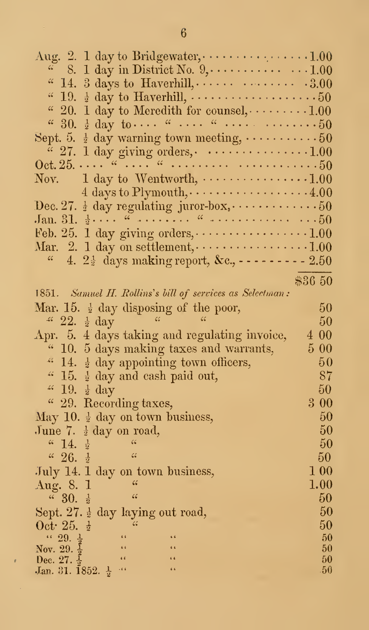| Aug. 2. 1 day to Bridgewater, $\cdots \cdots \cdots \cdots 1.00$                                                                             |
|----------------------------------------------------------------------------------------------------------------------------------------------|
|                                                                                                                                              |
|                                                                                                                                              |
| " $19. \frac{1}{2}$ day to Haverhill, $\cdots \cdots \cdots \cdots \cdots \cdots 50$                                                         |
| " 20. 1 day to Meredith for counsel, $\cdots \cdots \cdots 1.00$                                                                             |
|                                                                                                                                              |
|                                                                                                                                              |
| 27. 1 day giving orders, $\cdots \cdots \cdots \cdots 1.00$<br>$\epsilon$                                                                    |
|                                                                                                                                              |
| Nov. 1 day to Wentworth, $\cdots \cdots \cdots \cdots 1.00$                                                                                  |
| $4 \ \mathrm{days}$ to $\mathrm{Plymouth},\cdots\cdots\cdots\cdots\cdots\cdots 4.00$                                                         |
|                                                                                                                                              |
|                                                                                                                                              |
| Feb. 25. 1 day giving orders, $\cdots \cdots \cdots \cdots 1.00$                                                                             |
| Mar. 2. 1 day on settlement, $\cdots$ 1.00                                                                                                   |
| 4. $2\frac{1}{2}$ days making report, &c., 2.50<br>66                                                                                        |
| \$36 50                                                                                                                                      |
| 1851. Samuel H. Rollins's bill of services as Selectman:                                                                                     |
| Mar. 15. $\frac{1}{2}$ day disposing of the poor,<br>50                                                                                      |
| $\mathcal{C}$<br>$\sqrt{2}$<br>$44$ 22. $\frac{1}{2}$ day<br>$50\,$                                                                          |
| Apr. 5. 4 days taking and regulating invoice,<br>400                                                                                         |
| " 10. 5 days making taxes and warrants,<br>5 00                                                                                              |
| " 14. $\frac{1}{2}$ day appointing town officers,<br>50                                                                                      |
| $\frac{4}{3}$ 15. $\frac{1}{2}$ day and eash paid out,<br>87                                                                                 |
| $44 \t19. \tfrac{1}{2}$ day<br>50                                                                                                            |
| " 29. Recording taxes,<br>300                                                                                                                |
| May 10. $\frac{1}{2}$ day on town business,<br>$50\,$                                                                                        |
| 50<br>June 7. $\frac{1}{2}$ day on road,                                                                                                     |
| $`` 14. \frac{1}{2}$<br>66<br>$50\,$                                                                                                         |
| $\sqrt{2}$<br>$426. \frac{1}{2}$<br>$50\,$                                                                                                   |
| <b>100</b><br>July 14. 1 day on town business,                                                                                               |
| 66<br>1.00<br>Aug. 8. 1                                                                                                                      |
| $-66$<br>$\frac{a}{30}$ , $\frac{1}{2}$<br>50                                                                                                |
| Sept. 27. $\frac{1}{2}$ day laying out road,<br>50                                                                                           |
| Oct 25. $\frac{1}{2}$<br>50<br>$\begin{array}{ccc}\n\frac{1}{2} & & \cdots \\ & & \cdots \\ & & & \cdots\n\end{array}$                       |
| e d<br>50                                                                                                                                    |
| $\epsilon$<br>50<br>$\ddot{\phantom{0}}$                                                                                                     |
| $\frac{1}{29}$ . $\frac{1}{2}$<br>Nov. 29. $\frac{1}{2}$<br>Dec. 27. $\frac{1}{2}$<br>Jan. 31. 1852. $\frac{1}{2}$<br>50<br>$\epsilon$<br>50 |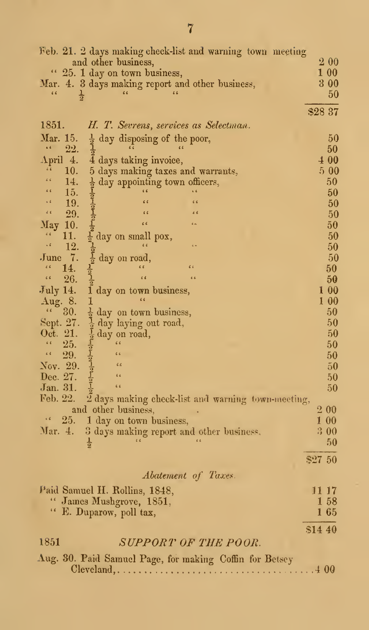|                              | Feb. 21. 2 days making check-list and warning town meeting                                                                                     |                    |              |
|------------------------------|------------------------------------------------------------------------------------------------------------------------------------------------|--------------------|--------------|
|                              | and other business,                                                                                                                            |                    | $2\;00$      |
|                              | " 25. 1 day on town business,                                                                                                                  |                    | $1\;00$      |
|                              | Mar. 4. 3 days making report and other business,                                                                                               |                    | $3\;00$      |
| $66^\circ$                   | $\frac{1}{2}$                                                                                                                                  |                    | $50\,$       |
|                              |                                                                                                                                                | \$28 37            |              |
| 1851.                        |                                                                                                                                                |                    |              |
|                              | H. T. Sevrens, services as Selectman.                                                                                                          |                    |              |
| Mar. 15.                     | $\frac{1}{2}$ day disposing of the poor,                                                                                                       |                    | $50\,$       |
| $\bullet$ 6 $-$              | 22.                                                                                                                                            |                    | 50           |
| $\Lambda$ pril 4.<br>46      | 4 days taking invoice,                                                                                                                         |                    | 400          |
| $\mathcal{L}(\mathcal{L})$   | 10.<br>5 days making taxes and warrants,                                                                                                       |                    | 500          |
| 4.4 <sub>1</sub>             | 14.<br>$\frac{1}{2}$ day appointing town officers,                                                                                             |                    | 50           |
| $\mathcal{C}(\mathcal{L})$   | 15.<br>19.                                                                                                                                     |                    | 50           |
| $\mathcal{L}(\zeta)$ .       | 29.                                                                                                                                            |                    | $50\,$<br>50 |
|                              | 66                                                                                                                                             |                    |              |
| May 10.<br>6.6               |                                                                                                                                                |                    | 50           |
| $\sqrt{2}$                   | 11.<br>$\frac{1}{2}$ day on small pox,<br>12.<br>6.6<br>$\overline{4}$ $\overline{4}$                                                          |                    | 50<br>$50\,$ |
| June 7.                      | $\frac{1}{2}$ day on road,                                                                                                                     |                    |              |
| $\epsilon$                   | $\epsilon$<br>$\epsilon$<br>14.                                                                                                                |                    | $50\,$<br>50 |
| $\zeta/\zeta$                | $\ddot{\phantom{a}}$<br>26.<br>$\epsilon$                                                                                                      |                    | 50           |
|                              |                                                                                                                                                |                    | 1 00         |
| $July$ 14.                   | I day on town business,<br>1                                                                                                                   |                    | 1 00         |
| Aug. 8.<br>$(1)$ 30.         |                                                                                                                                                |                    | $50\,$       |
|                              | $\frac{1}{2}$ day on town business,<br>$\frac{1}{2}$ day laying out road,                                                                      |                    |              |
| Sept. 27.                    |                                                                                                                                                |                    | 50<br>$50\,$ |
| Oct. 21.<br>66 <sup>2</sup>  | 25.                                                                                                                                            |                    |              |
| $\mathcal{L}(\mathcal{L})$ . | 29.                                                                                                                                            |                    | 50<br>$50\,$ |
| Nov. 29.                     | $\frac{2}{3}$ day inying or<br>$\frac{1}{2}$ day on road,<br>$\frac{1}{2}$<br>$\frac{1}{2}$<br>$\frac{1}{2}$<br>$\frac{1}{2}$<br>$\frac{1}{2}$ |                    | $50\,$       |
| Dec. 27.                     |                                                                                                                                                |                    | $50\,$       |
| Jan. 31.                     |                                                                                                                                                |                    | 50           |
| Feb. 22.                     | $2$ days making check-list and warning town-meeting,                                                                                           |                    |              |
|                              | and other business,                                                                                                                            |                    | 200          |
| $\rightarrow$ 6 $-$          | 25.<br>1 day on town business,                                                                                                                 |                    | <b>100</b>   |
| Mar. $4.$                    | 3 days making report and other business.                                                                                                       |                    | $3\;00$      |
|                              | $\frac{1}{2}$                                                                                                                                  |                    | 50           |
|                              |                                                                                                                                                |                    |              |
|                              |                                                                                                                                                | \$2750             |              |
|                              | Abatement of Taxes.                                                                                                                            |                    |              |
|                              |                                                                                                                                                |                    |              |
|                              | Paid Samuel H. Rollins, 1848,                                                                                                                  |                    | 11 17        |
|                              | " James Mushgrove, 1851,                                                                                                                       |                    | 158          |
|                              | " E. Duparow, poll tax,                                                                                                                        |                    | 165          |
|                              |                                                                                                                                                | S <sub>14</sub> 40 |              |
| 1851                         | <b>SUPPORT OF THE POOR.</b>                                                                                                                    |                    |              |
|                              |                                                                                                                                                |                    |              |
|                              | Aug. 30. Paid Samuel Page, for making Coffin for Betsey                                                                                        |                    |              |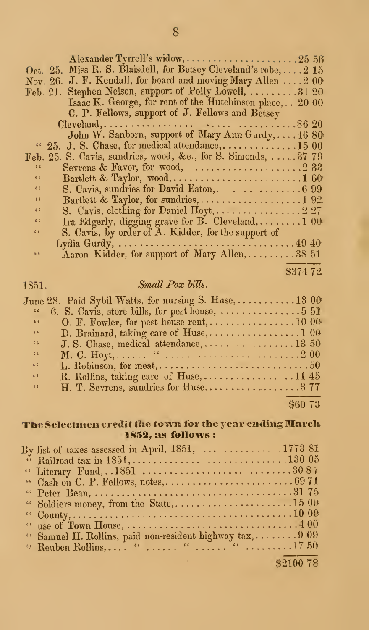|     | Alexander Tyrrell's widow, 25 56                                                   |
|-----|------------------------------------------------------------------------------------|
|     | Oct. 25. Miss R. S. Blaisdell, for Betsey Cleveland's robe, $\dots$ 2 15           |
|     | Nov. 26. J. F. Kendall, for board and moving Mary Allen $\dots$ 2.00               |
|     | Feb. 21. Stephen Nelson, support of Polly Lowell, $\dots \dots 31$ 20              |
|     | Isaac K. George, for rent of the Hutchinson place, 2000                            |
|     | C. P. Fellows, support of J. Fellows and Betsey                                    |
|     |                                                                                    |
|     | John W. Sanborn, support of Mary Ann Gurdy,  46 80                                 |
|     |                                                                                    |
|     | Feb. 25. S. Cavis, sundries, wood, &c., for S. Simonds, $\dots$ 37. 79             |
| 66  | Sevrens & Favor, for wood, $\ldots \ldots \ldots \ldots \ldots \ldots \ldots 2$ 33 |
| 66  |                                                                                    |
| 66  | S. Cavis, sundries for David Eaton, 6 99                                           |
| 6.4 |                                                                                    |
| 66  | S. Cavis, clothing for Daniel Hoyt,  227                                           |
| 66  | Ira Edgerly, digging grave for B. Cleveland,  100                                  |
| 6.6 | S. Cavis, by order of A. Kidder, for the support of                                |
|     |                                                                                    |
| 66  | Aaron Kidder, for support of Mary Allen,  38 51                                    |
|     |                                                                                    |

#### \$37472

### 1851.

#### Small Pox bills.

|                                | June 28. Paid Sybil Watts, for nursing S. Huse, 13 00                                      |
|--------------------------------|--------------------------------------------------------------------------------------------|
|                                |                                                                                            |
| $\mathcal{L}(\mathcal{L})$     | O. F. Fowler, for pest house rent,     10 00                                               |
|                                | D. Brainard, taking care of Huse, $\dots \dots \dots \dots \dots \dots 1$ 00               |
| $\langle \zeta, \zeta \rangle$ | <b>J. S.</b> Chase, medical attendance, $\ldots \ldots \ldots \ldots \ldots \ldots 13\ 50$ |
|                                |                                                                                            |
| $\epsilon$ $\epsilon$          |                                                                                            |
| $\epsilon$ $\epsilon$          |                                                                                            |
| 6.6                            | H. T. Sevrens, sundries for Huse, $\ldots$ $\ldots$ 3 77                                   |
|                                |                                                                                            |
|                                | <b>S60 73</b>                                                                              |

### The Selectmen credit the town for the year ending Marcls  $\qquad \qquad$ 1 $852^{},$  as follows :  $\hskip1cm$

| By list of taxes assessed in April, $1851, \ldots \ldots \ldots \ldots \ldots 1773881$ |
|----------------------------------------------------------------------------------------|
|                                                                                        |
|                                                                                        |
|                                                                                        |
|                                                                                        |
|                                                                                        |
|                                                                                        |
|                                                                                        |
| " Samuel H. Rollins, paid non-resident highway tax,  9 09                              |
| <sup>64</sup> Reuben Rollins,  "  "  "  17 50                                          |
|                                                                                        |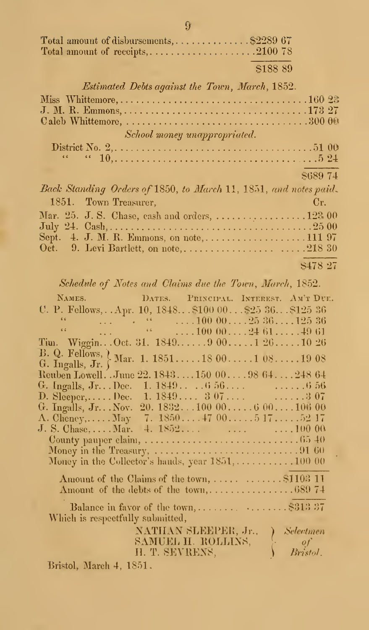| Total amount of disbursements, \$2289 67<br>Total amount of receipts, 2100 78                           |                     |
|---------------------------------------------------------------------------------------------------------|---------------------|
| \$188 89                                                                                                |                     |
| <i>Estimated Debts against the Town, March, 1852.</i>                                                   |                     |
|                                                                                                         |                     |
| School money unappropriated.                                                                            |                     |
| District No. $2, \ldots, \ldots, \ldots, \ldots, \ldots, \ldots, \ldots, \ldots, 51\;00$<br>c.c.        |                     |
|                                                                                                         | \$689.74            |
| Back Standing Orders of 1850, to March 11, 1851, and notes paid.                                        |                     |
| 1851. Town Treasurer,                                                                                   | Cr. .               |
| Mar. 25. J. S. Chase, cash and orders, $\,\ldots\ldots\ldots\ldots\ldots\ldots\,123\,00$                |                     |
| $\rm{July}$ $24.$ $\rm{Cash}, \ldots. \ldots. \ldots. \ldots. \ldots. \ldots. \ldots. \ldots. \ 25\ 00$ |                     |
| Sept. 4. J. M. R. Emmons, on note, 111 97                                                               |                     |
| Oct. 9. Levi Bartlett, on note, 218 30                                                                  |                     |
|                                                                                                         | S <sub>478</sub> 27 |

Schedule of Notes and Claims due the Town, March, 1852.

| NAMES. DATES. PRINCIPAL. INTEREST. AM'T DUE                                                                                                                                                                                               |                         |                                                                                                               |
|-------------------------------------------------------------------------------------------------------------------------------------------------------------------------------------------------------------------------------------------|-------------------------|---------------------------------------------------------------------------------------------------------------|
| U. P. Fellows, Apr. 10, 1848 \$100 00 \$25 36 \$125 36                                                                                                                                                                                    |                         |                                                                                                               |
|                                                                                                                                                                                                                                           |                         |                                                                                                               |
| $\begin{array}{ccccccccc}\n\alpha & \dots & \dots & \alpha & \dots & 100 & 00 & \dots & 25 & 36 & \dots & 125 & 36 \\ \vdots & \dots & \dots & \dots & \dots & \dots & 100 & 00 & \dots & 24 & 61 & \dots & \dots & 49 & 61\n\end{array}$ |                         |                                                                                                               |
| Tim. WigginOct. 31. $18499001261026$                                                                                                                                                                                                      |                         |                                                                                                               |
| B. Q. Fellows, } Mar. 1. 185118 001 0819 08<br>G. Ingalls, Jr. } Mar. 1. 185118 001 0819 08                                                                                                                                               |                         |                                                                                                               |
| Reuben Lowell. June 22. 1843 150 00 98 64 248 64                                                                                                                                                                                          |                         |                                                                                                               |
|                                                                                                                                                                                                                                           |                         |                                                                                                               |
| D. Sleeper,Dec. 1. 1849 3 07 3 07                                                                                                                                                                                                         |                         |                                                                                                               |
| G. Ingalls, Jr. Nov. 20. 1832. 100 00 . 6 00 . 106 00                                                                                                                                                                                     |                         |                                                                                                               |
| A. Cheney,May 7. 185047 005 1752 17                                                                                                                                                                                                       |                         |                                                                                                               |
| J. S. Chase,  . Mar. 4. $1852$ 100 00                                                                                                                                                                                                     |                         |                                                                                                               |
|                                                                                                                                                                                                                                           |                         |                                                                                                               |
|                                                                                                                                                                                                                                           |                         |                                                                                                               |
| Money in the Collector's hands, year 1851,  100 00                                                                                                                                                                                        |                         |                                                                                                               |
|                                                                                                                                                                                                                                           |                         |                                                                                                               |
| Amount of the debts of the town, $\dots$ $689\ 74$                                                                                                                                                                                        |                         |                                                                                                               |
| Which is respectfully submitted,                                                                                                                                                                                                          |                         |                                                                                                               |
|                                                                                                                                                                                                                                           | NATHAN SLEEPER, Jr.,    |                                                                                                               |
|                                                                                                                                                                                                                                           | SAMUEL H. ROLLINS,      | $\begin{array}{c}\n\left\{\begin{array}{c}\n\text{Selectionen} \\ \text{of}\n\end{array}\right.\n\end{array}$ |
|                                                                                                                                                                                                                                           | H. T. SEVRENS, New York |                                                                                                               |
| Bristol, March 4, 1851.                                                                                                                                                                                                                   |                         |                                                                                                               |

.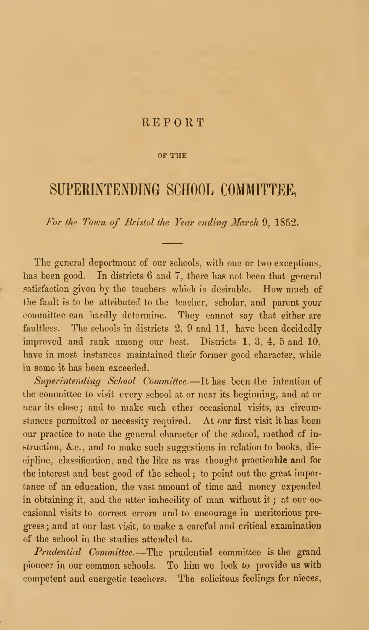### REPORT

#### 0¥ THE

## SUPERINTENDING SCHOOL COMMITTEE,

For the Town of Bristol the Year ending March 9, 1852.

The general deportment of our schools, with one or two exceptions, has been good. In districts 6 and 7, there has not been that general satisfaction given by the teachers which is desirable. How much of the fault is to be attributed to the teacher, scholar, and parent your committee can hardly determine. They cannot say that either are faultless. The schools in districts  $2, 9$  and 11, have been decidedly improved and rank among our best. Districts 1, 3, 4, 5 and 10, have in most instances maintained their former good character, while in some it has been exceeded.

Superintending School Committee.—It has been the intention of the committee to visit every school at or near its beginning, and at or near its close ; and to make such other occasional visits, as circumstances permitted or necessity required. At our first visit it has been our practice to note the general character of the school, method of in struction, &c., and to make such suggestions in relation to books, discipline, classification, and the like as was thought practicable and for the interest and best good of the school; to point out the great importance of an education, the vast amount of time and money expended in obtaining it, and the utter imbecility of man without it ; at our oc casional visits to con'ect errors and to encourage in meritorious pro gress; and at our last visit, to make a careful and critical examination of the school in the studies attended to.

Prudential Committee.—The prudential committee is the grand pioneer in our common schools. To him we look to provide us with •competent and energetic teachers. The solicitous feelings for nieces,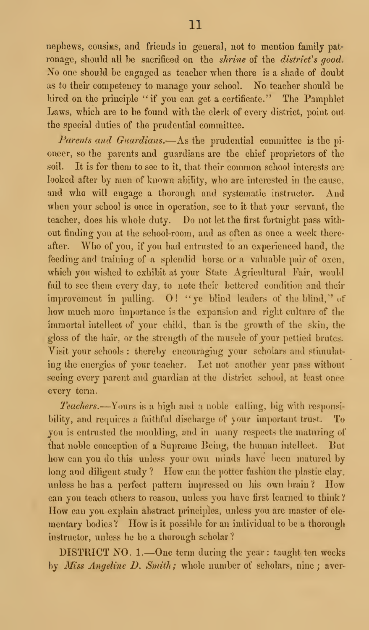nephews, cousins, and friends in general, not to mention family patronage, should all be sacrificed on the shrine of the district's good. No one should be engaged as teacher when there is <sup>a</sup> shade of doubt as to their competency to manage your school. No teacher should be hired on the principle " if you can get a certificate." The Pamphlet Laws, which are to be found with the clerk of every district, point out the special duties of the prudential committee.

Parents and Guardians.—As the prudential committee is the pioneer, so the parents and guardians are the chief proprietors of the soil. It is for them to see to it, that their common school interests are looked after by men of known ability, who are interested in the cause, and who will engage a thorough and systematic instructor. And when your school is once in operation, see to it that your servant, the teacher, does his whole duty. Do not let the first fortnight pass with out finding you at the school-room, and as often as once a week thereafter. Who of you, if you had entrusted to an experienced hand, the feeding and training of a splendid horse or a valuable pair of oxen, which you wished to exhibit at your State Agricultural Fair, would fail to see them every day, to note their bettered condition and their improvement in pulling. O! "ye blind leaders of the blind," of how much more importance is the expansion and right culture of the immortal intellect of your child, than is the growth of the skin, the gloss of the hair, or the strength of the muscle of your pettied brutes. Visit your schools : thereby encouraging your scholars and stimulat ing the energies of your teacher. Let not another year pass without seeing every parent and guardian at the district school, at least once every term.

Teachers.—Yours is <sup>a</sup> high and <sup>a</sup> noble calling, big with responsibility, and requires a faithful discharge of your important trust. To you is entrusted the moulding, and in many respects the maturing of that noble conception of a Supreme Being, the human intellect. But how can you do this unless your own minds have been matured by long and diligent study? How can the potter fashion the plastic clay, unless he has a perfect pattern impressed on his own brain? How can you teach others to reason, unless you have first learned to think <sup>Y</sup> How can you explain abstract principles, unless you are master of ele mentary bodies? How is it possible for an individual to be a thorough instructor, unless he be a thorough scholar ?

DISTRICT NO. 1.—One term during the year: taught ten weeks by Miss Angeline D. Smith; whole number of scholars, nine ; aver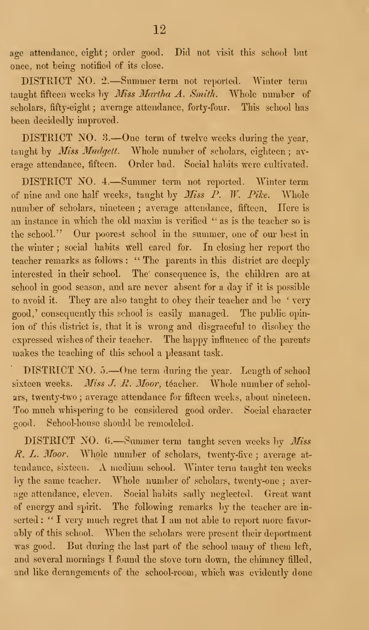age attendance, eight; order good. Did not visit this school but once, not being notified of its close.

DISTRICT NO. 2.—Summer term not reported. Winter term taught fifteen weeks by *Miss Martha A. Smith.* Whole number of scholars, fifty-eight ; average attendance, forty-four. This school has been decidedly improved.

DISTRICT NO. 3.—One term of twelve weeks during the year, taught by Miss Mudgett. Whole number of scholars, eighteen; average attendance, fifteen. Order bad. Social habits were cultivated.

DISTRICT NO. 4.—Summer term not reported. Winter term of nine and one half weeks, taught by  $Miss$   $\overline{P}$ . W. Pike. Whole number of scholars, nineteen ; average attendance, fifteen. Here isan instance in which the old maxim is verified " as is the teacher so is the school." Our poorest school in the summer, one of our best in the winter ; social habits well cared for. In closing her report the teacher remarks as follows : " The parents in this district are deeply interested in their school. The consequence is, the children are at school in good season, and are never absent for a day if it is possible to avoid it. They are also taught to obey their teacher and  $be$  'very good,' consequently this school is easily managed. The public opinion of this district is, that it is wrong and disgraceful to disobey the expressed wishes of their teacher. The happy influence of the parents makes the teaching of this school a pleasant task.

DISTRICT NO. 5.—One term during the year. Length of school sixteen weeks. Miss J. R. Moor, teacher. Whole number of scholars, twenty-two ; average attendance for fifteen weeks, about nineteen. Too much whispering to be considered good order. Social character good. School-house should be remodeled.

DISTRICT NO. 6. Summer term taught seven weeks by Miss R. L. Moor. Wliole number of scholars, twenty-five ; average at tendance, sixteen. A medium school. Winter term taught ten weeks by the same teacher. Whole number of scholars, twenty-one ; average attendance, eleven. Social habits sadly neglected. Great want of energy and spirit. The following remarks by the teacher are in serted : " I very much regret that I am not able to report more favorably of this school. When the scholars were present their deportment was good. But during the last part of the school many of them left, and several mornings I found the stove torn down, the chimney filled, and like derangements of the school-room, which was evidently done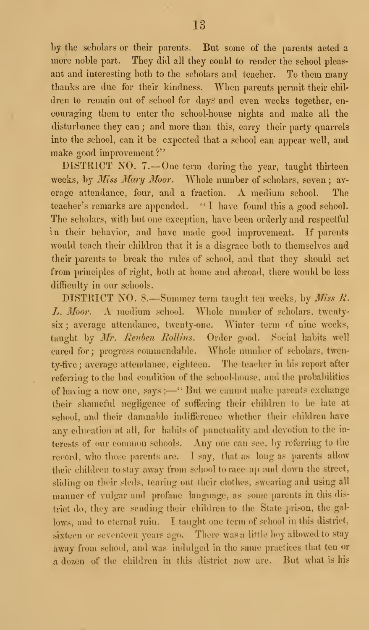by the scholars or their parents. But some of the parents acted a more noble part. They did all they could to render the school pleasant and interesting both to the scholars and teacher. To them many thanks are due for their kindness. When parents permit their chil dren to remain out of school for days and even weeks together, en couraging them to enter the school-house nights and make all the disturbance they can; and more than this, carry their party quarrels into the school, can it be expected that a school can appear well, and make good improvement?"

DISTRICT NO. 7.—One term during the year, taught thirteen weeks, by Miss Mary Moor. Whole number of scholars, seven; average attendance, four, and <sup>a</sup> fraction. A medium school. The teacher's remarks are appended. " <sup>I</sup> have found this a good school. The scholars, with but one exception, have been orderly and respectful in their behavior, and have made good improvement. If parents would teach their children that it is a disgrace both to themselves and their parents to break the rules of school, and that they should act from principles of right, botli at home and abroad, there would be less difficulty in our schools.

DISTRICT NO. 8.-Summer term taught ten weeks, by Miss  $R$ . L. Moor. A medium school. Whole number of scholars, twentysix ; average attendance, twenty-one. Winter term of nine weeks, taught by Mr. Reuben Rollins. Order good. Social habits well cared for ; progress commendable. Whole number of scholars, twenty-five ; average attendance, eighteen. The teacher in his report after referring to the bad condition of the school-house, and the probabilities of having <sup>a</sup> new one, says ;—" But we cannot make parents exchange their shameful negligence of suffering their children to be late at school, and their damnable indifference whether their children have any education at all, for habits of punctuality and devotion to the in terests of our common schools. Any one can see, by referring to the record, who those parents are. I say, that as long as parents allow their children to stay away from school to race up and down the street, sliding on their sleds, tearing out their clothes, swearing and using all manner of vulgar and profane language, as some parents in this district do, they are sending their children to the State prison, the gallows, and to eternal ruin. I taught one term of school in this district, sixteen or seventeen years ago. There was a little boy allowed to stay away from school, and was indulged in the same practices that ten or a dozen of the children in this district now are. But what is his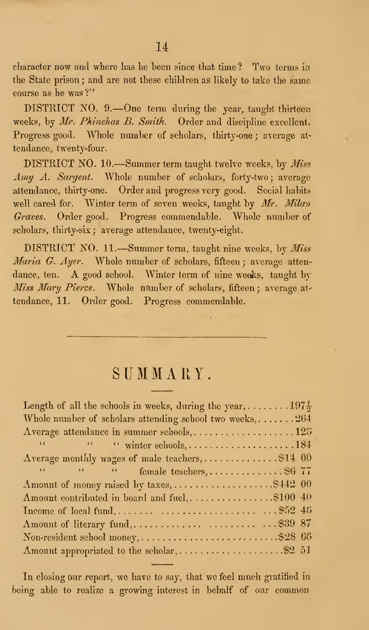character now and where has he been since that time? Two terms in the State prison ; and are not these children as likely to take the same course as he was?"

DISTRICT NO. 9. One term during the year, taught thirteen weeks, by Mr. Phinehas B. Smith. Order and discipline excellent. Progress good. Whole number of scholars, thirty-one; average attendance, twenty-four.

DISTRICT NO. 10.—Summer term taught twelve weeks, by Miss Amy A, Sargent. Whole number of scholars, forty-two; average attendance, thirty-one. Order and progress very good. Social habits well cared for. Winter term of seven weeks, taught by Mr. Milan Graves. Order good. Progress commendable. Whole number of scholars, thirty-six ; average attendance, twenty-eight.

DISTRICT NO. 11.—Summer term, taught nine weeks, by Miss Maria G. Ayer. Whole number of scholars, fifteen; average attendance, ten. A good school. Winter term of nine weeks, taught by Miss Mary Pierce. Whole number of scholars, fifteen; average attendance, 11. Order good. Progress commendable.

## SUMMARY.

| Length of all the schools in weeks, during the year,  197 $\frac{1}{2}$        |  |  |  |
|--------------------------------------------------------------------------------|--|--|--|
| Whole number of scholars attending school two weeks, 264                       |  |  |  |
|                                                                                |  |  |  |
| $\langle \zeta, \zeta \rangle$                                                 |  |  |  |
| Average monthly wages of male teachers, \$14 00                                |  |  |  |
|                                                                                |  |  |  |
| Amount of money raised by taxes, \$442 00                                      |  |  |  |
| Amount contributed in board and fuel, $\dots \dots \dots \dots \dots$ \$100 40 |  |  |  |
|                                                                                |  |  |  |
|                                                                                |  |  |  |
|                                                                                |  |  |  |
| Amount appropriated to the scholar, \$2 51                                     |  |  |  |

In closing our report, we have to say, that we feel much gratified in being able to realize a growing interest in behalf of our common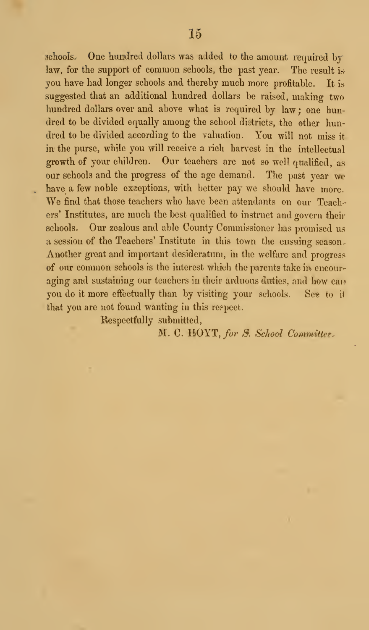schools. One hundred dollars was added to the amount required by law, for the support of common schools, the past year. The result isjou have had longer schools and thereby much more profitable. It is suggested that an additional hundred dollars be raised, making two hundred dollars over and above what is required by law ; one hundred to be divided equally among the school districts, the other hundred to be divided according to the valuation. You will not miss it in the purse, while you will receive a rich harvest in the intellectual growth of your children. Our teachers are not so well qualified, as our schools and the progress of the age demand. The past year we have a few noble exceptions, with better pay we should have more. We find that those teachers who have been attendants on our Teachers' Institutes, are much the best qualified to instruct and govern their schools. Our zealous and able County Commissioner has promised us a session of the Teachers' Institute in this town the ensuing season. Another great and important desideratum, in the welfare and progress of our common schools is the interest which the parents take in encouraging and sustaining our teachers in their arduous duties, and how can you do it more effectually than by visiting your schools. See to it that you are not found wanting in this respect.

Respectfully submitted

M. C. HOYT, for S. School Committee.